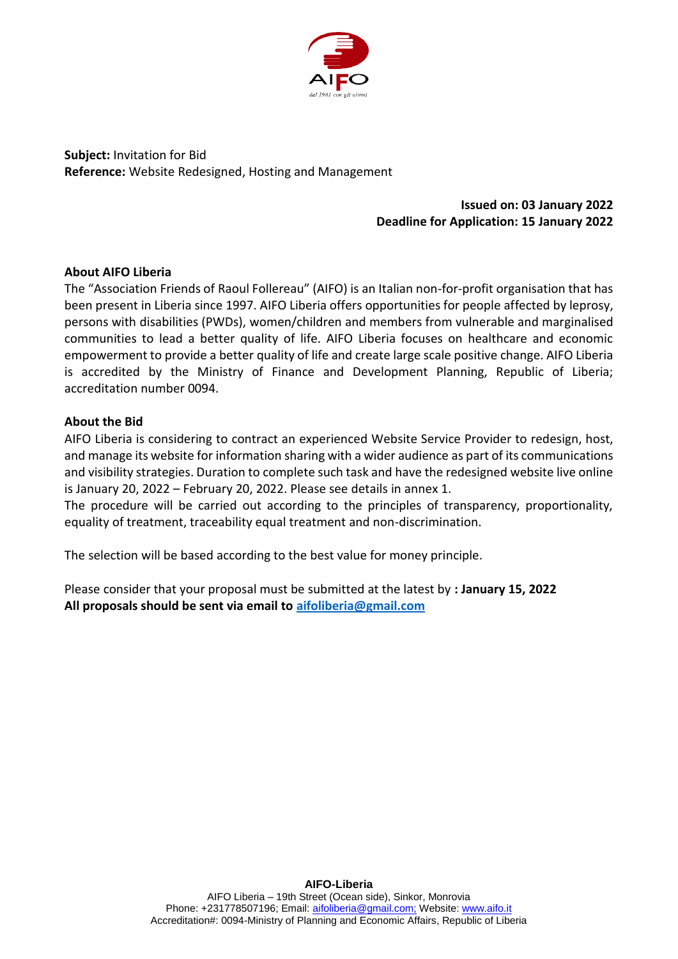

**Subject:** Invitation for Bid **Reference:** Website Redesigned, Hosting and Management

# **Issued on: 03 January 2022 Deadline for Application: 15 January 2022**

### **About AIFO Liberia**

The "Association Friends of Raoul Follereau" (AIFO) is an Italian non-for-profit organisation that has been present in Liberia since 1997. AIFO Liberia offers opportunities for people affected by leprosy, persons with disabilities (PWDs), women/children and members from vulnerable and marginalised communities to lead a better quality of life. AIFO Liberia focuses on healthcare and economic empowerment to provide a better quality of life and create large scale positive change. AIFO Liberia is accredited by the Ministry of Finance and Development Planning, Republic of Liberia; accreditation number 0094.

### **About the Bid**

AIFO Liberia is considering to contract an experienced Website Service Provider to redesign, host, and manage its website for information sharing with a wider audience as part of its communications and visibility strategies. Duration to complete such task and have the redesigned website live online is January 20, 2022 – February 20, 2022. Please see details in annex 1.

The procedure will be carried out according to the principles of transparency, proportionality, equality of treatment, traceability equal treatment and non-discrimination.

The selection will be based according to the best value for money principle.

Please consider that your proposal must be submitted at the latest by **: January 15, 2022 All proposals should be sent via email to [aifoliberia@gmail.com](mailto:aifoliberia@gmail.com)**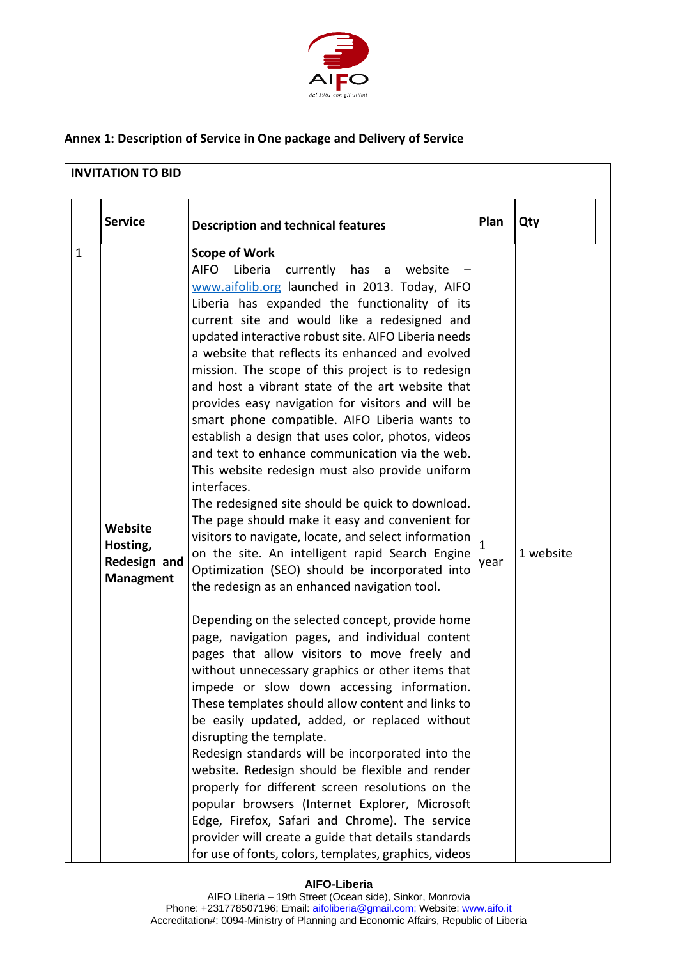

## **Annex 1: Description of Service in One package and Delivery of Service**

| <b>INVITATION TO BID</b>                                |                                                                                                                                                                                                                                                                                                                                                                                                                                                                                                                                                                                                                                                                                                                                                                                                                                                                                                                                                                                                                                                                                                                                                                                                                                                                                                                                                                                                                                                                                                                                                                                                                                                                                                                                                                                                                             |                      |           |
|---------------------------------------------------------|-----------------------------------------------------------------------------------------------------------------------------------------------------------------------------------------------------------------------------------------------------------------------------------------------------------------------------------------------------------------------------------------------------------------------------------------------------------------------------------------------------------------------------------------------------------------------------------------------------------------------------------------------------------------------------------------------------------------------------------------------------------------------------------------------------------------------------------------------------------------------------------------------------------------------------------------------------------------------------------------------------------------------------------------------------------------------------------------------------------------------------------------------------------------------------------------------------------------------------------------------------------------------------------------------------------------------------------------------------------------------------------------------------------------------------------------------------------------------------------------------------------------------------------------------------------------------------------------------------------------------------------------------------------------------------------------------------------------------------------------------------------------------------------------------------------------------------|----------------------|-----------|
| <b>Service</b>                                          | <b>Description and technical features</b>                                                                                                                                                                                                                                                                                                                                                                                                                                                                                                                                                                                                                                                                                                                                                                                                                                                                                                                                                                                                                                                                                                                                                                                                                                                                                                                                                                                                                                                                                                                                                                                                                                                                                                                                                                                   | Plan                 | Qty       |
| Website<br>Hosting,<br>Redesign and<br><b>Managment</b> | <b>Scope of Work</b><br>Liberia<br>currently has a website<br><b>AIFO</b><br>www.aifolib.org launched in 2013. Today, AIFO<br>Liberia has expanded the functionality of its<br>current site and would like a redesigned and<br>updated interactive robust site. AIFO Liberia needs<br>a website that reflects its enhanced and evolved<br>mission. The scope of this project is to redesign<br>and host a vibrant state of the art website that<br>provides easy navigation for visitors and will be<br>smart phone compatible. AIFO Liberia wants to<br>establish a design that uses color, photos, videos<br>and text to enhance communication via the web.<br>This website redesign must also provide uniform<br>interfaces.<br>The redesigned site should be quick to download.<br>The page should make it easy and convenient for<br>visitors to navigate, locate, and select information<br>on the site. An intelligent rapid Search Engine<br>Optimization (SEO) should be incorporated into<br>the redesign as an enhanced navigation tool.<br>Depending on the selected concept, provide home<br>page, navigation pages, and individual content<br>pages that allow visitors to move freely and<br>without unnecessary graphics or other items that<br>impede or slow down accessing information.<br>These templates should allow content and links to<br>be easily updated, added, or replaced without<br>disrupting the template.<br>Redesign standards will be incorporated into the<br>website. Redesign should be flexible and render<br>properly for different screen resolutions on the<br>popular browsers (Internet Explorer, Microsoft<br>Edge, Firefox, Safari and Chrome). The service<br>provider will create a guide that details standards<br>for use of fonts, colors, templates, graphics, videos | $\mathbf{1}$<br>year | 1 website |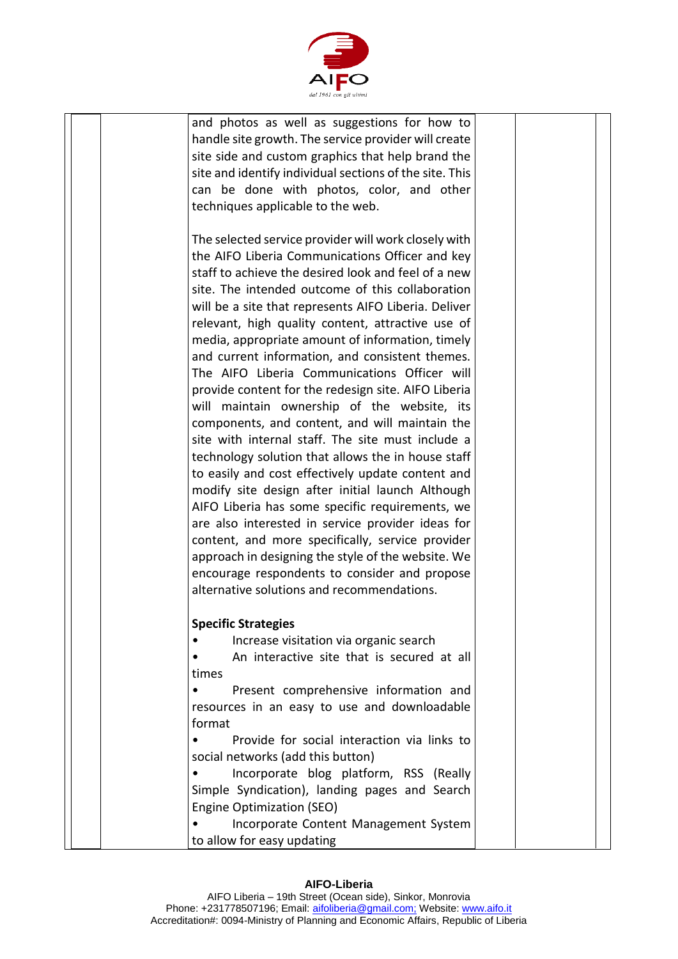

| and photos as well as suggestions for how to<br>handle site growth. The service provider will create<br>site side and custom graphics that help brand the<br>site and identify individual sections of the site. This                                                                                                                                                                                                                                                                                                                                                                                                                                                                                                                                                                                                                                                                                                  |  |  |
|-----------------------------------------------------------------------------------------------------------------------------------------------------------------------------------------------------------------------------------------------------------------------------------------------------------------------------------------------------------------------------------------------------------------------------------------------------------------------------------------------------------------------------------------------------------------------------------------------------------------------------------------------------------------------------------------------------------------------------------------------------------------------------------------------------------------------------------------------------------------------------------------------------------------------|--|--|
| can be done with photos, color, and other<br>techniques applicable to the web.                                                                                                                                                                                                                                                                                                                                                                                                                                                                                                                                                                                                                                                                                                                                                                                                                                        |  |  |
| The selected service provider will work closely with<br>the AIFO Liberia Communications Officer and key<br>staff to achieve the desired look and feel of a new<br>site. The intended outcome of this collaboration<br>will be a site that represents AIFO Liberia. Deliver<br>relevant, high quality content, attractive use of<br>media, appropriate amount of information, timely<br>and current information, and consistent themes.<br>The AIFO Liberia Communications Officer will<br>provide content for the redesign site. AIFO Liberia<br>will maintain ownership of the website, its<br>components, and content, and will maintain the<br>site with internal staff. The site must include a<br>technology solution that allows the in house staff<br>to easily and cost effectively update content and<br>modify site design after initial launch Although<br>AIFO Liberia has some specific requirements, we |  |  |
| are also interested in service provider ideas for<br>content, and more specifically, service provider<br>approach in designing the style of the website. We<br>encourage respondents to consider and propose<br>alternative solutions and recommendations.                                                                                                                                                                                                                                                                                                                                                                                                                                                                                                                                                                                                                                                            |  |  |
|                                                                                                                                                                                                                                                                                                                                                                                                                                                                                                                                                                                                                                                                                                                                                                                                                                                                                                                       |  |  |
| <b>Specific Strategies</b>                                                                                                                                                                                                                                                                                                                                                                                                                                                                                                                                                                                                                                                                                                                                                                                                                                                                                            |  |  |
| Increase visitation via organic search<br>An interactive site that is secured at all                                                                                                                                                                                                                                                                                                                                                                                                                                                                                                                                                                                                                                                                                                                                                                                                                                  |  |  |
| times                                                                                                                                                                                                                                                                                                                                                                                                                                                                                                                                                                                                                                                                                                                                                                                                                                                                                                                 |  |  |
| Present comprehensive information and<br>$\bullet$                                                                                                                                                                                                                                                                                                                                                                                                                                                                                                                                                                                                                                                                                                                                                                                                                                                                    |  |  |
| resources in an easy to use and downloadable                                                                                                                                                                                                                                                                                                                                                                                                                                                                                                                                                                                                                                                                                                                                                                                                                                                                          |  |  |
| format                                                                                                                                                                                                                                                                                                                                                                                                                                                                                                                                                                                                                                                                                                                                                                                                                                                                                                                |  |  |
| Provide for social interaction via links to                                                                                                                                                                                                                                                                                                                                                                                                                                                                                                                                                                                                                                                                                                                                                                                                                                                                           |  |  |
| social networks (add this button)                                                                                                                                                                                                                                                                                                                                                                                                                                                                                                                                                                                                                                                                                                                                                                                                                                                                                     |  |  |
| Incorporate blog platform, RSS (Really                                                                                                                                                                                                                                                                                                                                                                                                                                                                                                                                                                                                                                                                                                                                                                                                                                                                                |  |  |
| Simple Syndication), landing pages and Search<br>Engine Optimization (SEO)                                                                                                                                                                                                                                                                                                                                                                                                                                                                                                                                                                                                                                                                                                                                                                                                                                            |  |  |
| Incorporate Content Management System                                                                                                                                                                                                                                                                                                                                                                                                                                                                                                                                                                                                                                                                                                                                                                                                                                                                                 |  |  |
| to allow for easy updating                                                                                                                                                                                                                                                                                                                                                                                                                                                                                                                                                                                                                                                                                                                                                                                                                                                                                            |  |  |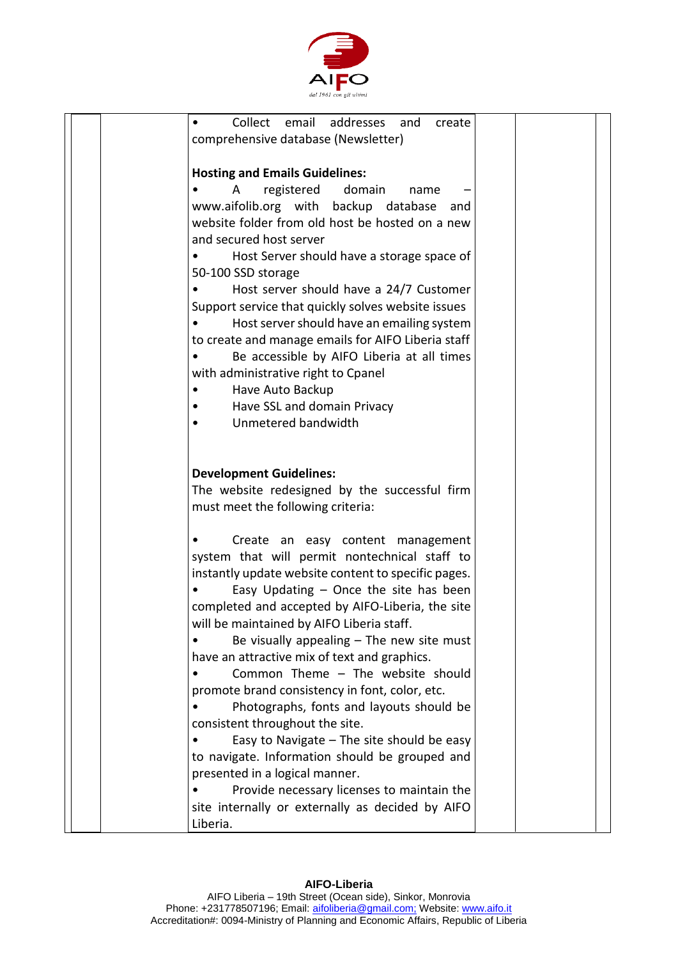

| Collect email<br>addresses<br>and<br>create         |
|-----------------------------------------------------|
| comprehensive database (Newsletter)                 |
|                                                     |
| <b>Hosting and Emails Guidelines:</b>               |
| registered<br>domain<br>Α<br>name                   |
| www.aifolib.org with backup database<br>and         |
| website folder from old host be hosted on a new     |
| and secured host server                             |
|                                                     |
| Host Server should have a storage space of          |
| 50-100 SSD storage                                  |
| Host server should have a 24/7 Customer             |
| Support service that quickly solves website issues  |
| Host server should have an emailing system          |
| to create and manage emails for AIFO Liberia staff  |
| Be accessible by AIFO Liberia at all times          |
| with administrative right to Cpanel                 |
| Have Auto Backup                                    |
| Have SSL and domain Privacy                         |
| Unmetered bandwidth                                 |
|                                                     |
|                                                     |
|                                                     |
| <b>Development Guidelines:</b>                      |
| The website redesigned by the successful firm       |
| must meet the following criteria:                   |
|                                                     |
| Create an easy content management                   |
| system that will permit nontechnical staff to       |
| instantly update website content to specific pages. |
|                                                     |
| Easy Updating $-$ Once the site has been            |
| completed and accepted by AIFO-Liberia, the site    |
| will be maintained by AIFO Liberia staff.           |
| Be visually appealing $-$ The new site must         |
| have an attractive mix of text and graphics.        |
| Common Theme - The website should                   |
| promote brand consistency in font, color, etc.      |
| Photographs, fonts and layouts should be            |
| consistent throughout the site.                     |
| Easy to Navigate $-$ The site should be easy        |
| to navigate. Information should be grouped and      |
|                                                     |
| presented in a logical manner.                      |
| Provide necessary licenses to maintain the          |
| site internally or externally as decided by AIFO    |
| Liberia.                                            |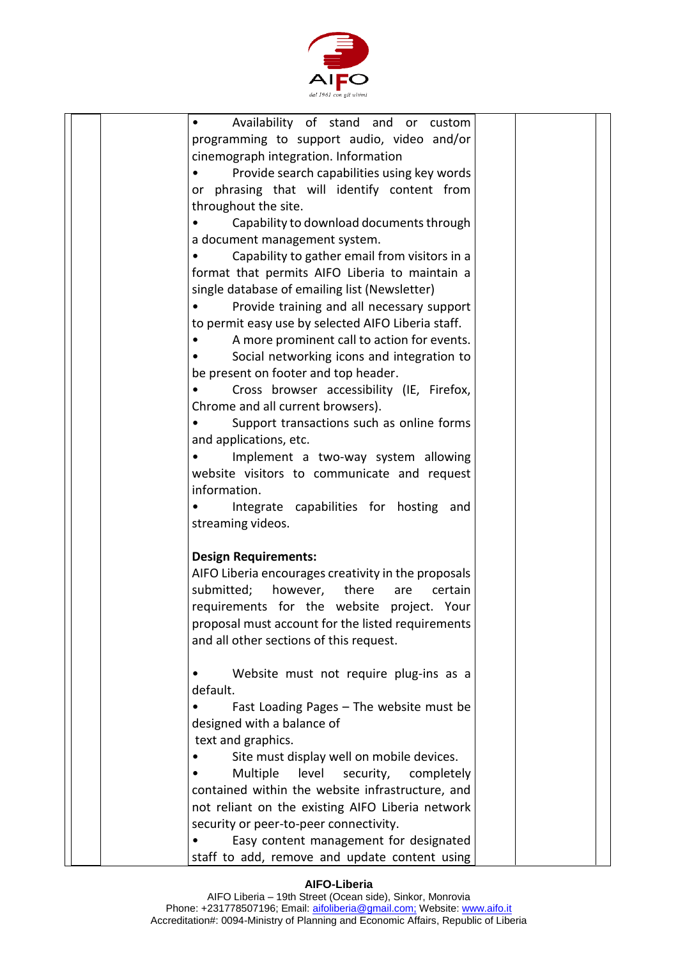

| Availability of stand and or custom                   |  |
|-------------------------------------------------------|--|
| programming to support audio, video and/or            |  |
| cinemograph integration. Information                  |  |
| Provide search capabilities using key words           |  |
| or phrasing that will identify content from           |  |
| throughout the site.                                  |  |
| Capability to download documents through<br>$\bullet$ |  |
| a document management system.                         |  |
| Capability to gather email from visitors in a         |  |
| format that permits AIFO Liberia to maintain a        |  |
| single database of emailing list (Newsletter)         |  |
|                                                       |  |
| Provide training and all necessary support            |  |
| to permit easy use by selected AIFO Liberia staff.    |  |
| A more prominent call to action for events.           |  |
| Social networking icons and integration to            |  |
| be present on footer and top header.                  |  |
| Cross browser accessibility (IE, Firefox,             |  |
| Chrome and all current browsers).                     |  |
| Support transactions such as online forms             |  |
| and applications, etc.                                |  |
| Implement a two-way system allowing                   |  |
| website visitors to communicate and request           |  |
| information.                                          |  |
| Integrate capabilities for hosting and                |  |
| streaming videos.                                     |  |
|                                                       |  |
| <b>Design Requirements:</b>                           |  |
| AIFO Liberia encourages creativity in the proposals   |  |
| submitted; however, there are<br>certain              |  |
| requirements for the website project. Your            |  |
| proposal must account for the listed requirements     |  |
| and all other sections of this request.               |  |
|                                                       |  |
| Website must not require plug-ins as a                |  |
| default.                                              |  |
| Fast Loading Pages - The website must be              |  |
|                                                       |  |
| designed with a balance of                            |  |
| text and graphics.                                    |  |
| Site must display well on mobile devices.             |  |
| Multiple<br>level<br>security,<br>completely          |  |
| contained within the website infrastructure, and      |  |
| not reliant on the existing AIFO Liberia network      |  |
| security or peer-to-peer connectivity.                |  |
| Easy content management for designated                |  |
| staff to add, remove and update content using         |  |

### **AIFO-Liberia**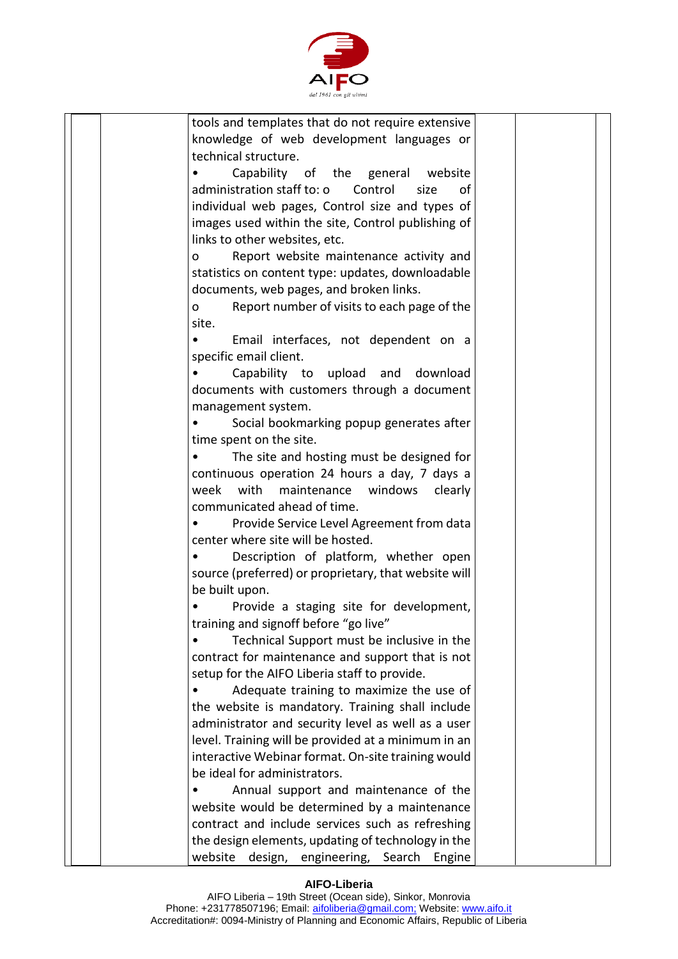

| tools and templates that do not require extensive       |  |
|---------------------------------------------------------|--|
| knowledge of web development languages or               |  |
| technical structure.                                    |  |
| Capability of the general website                       |  |
| administration staff to: o<br>Control<br>size<br>οf     |  |
| individual web pages, Control size and types of         |  |
| images used within the site, Control publishing of      |  |
|                                                         |  |
| links to other websites, etc.                           |  |
| Report website maintenance activity and<br>$\mathsf{o}$ |  |
| statistics on content type: updates, downloadable       |  |
| documents, web pages, and broken links.                 |  |
| Report number of visits to each page of the<br>0        |  |
| site.                                                   |  |
| Email interfaces, not dependent on a                    |  |
| specific email client.                                  |  |
| Capability to upload and download                       |  |
| documents with customers through a document             |  |
| management system.                                      |  |
| Social bookmarking popup generates after                |  |
| time spent on the site.                                 |  |
| The site and hosting must be designed for               |  |
| continuous operation 24 hours a day, 7 days a           |  |
| with<br>week<br>maintenance windows<br>clearly          |  |
| communicated ahead of time.                             |  |
|                                                         |  |
| Provide Service Level Agreement from data               |  |
| center where site will be hosted.                       |  |
| Description of platform, whether open                   |  |
| source (preferred) or proprietary, that website will    |  |
| be built upon.                                          |  |
| Provide a staging site for development,                 |  |
| training and signoff before "go live"                   |  |
| Technical Support must be inclusive in the              |  |
| contract for maintenance and support that is not        |  |
| setup for the AIFO Liberia staff to provide.            |  |
| Adequate training to maximize the use of                |  |
| the website is mandatory. Training shall include        |  |
| administrator and security level as well as a user      |  |
| level. Training will be provided at a minimum in an     |  |
| interactive Webinar format. On-site training would      |  |
| be ideal for administrators.                            |  |
| Annual support and maintenance of the                   |  |
| website would be determined by a maintenance            |  |
| contract and include services such as refreshing        |  |
|                                                         |  |
| the design elements, updating of technology in the      |  |
| website design, engineering, Search Engine              |  |

### **AIFO-Liberia**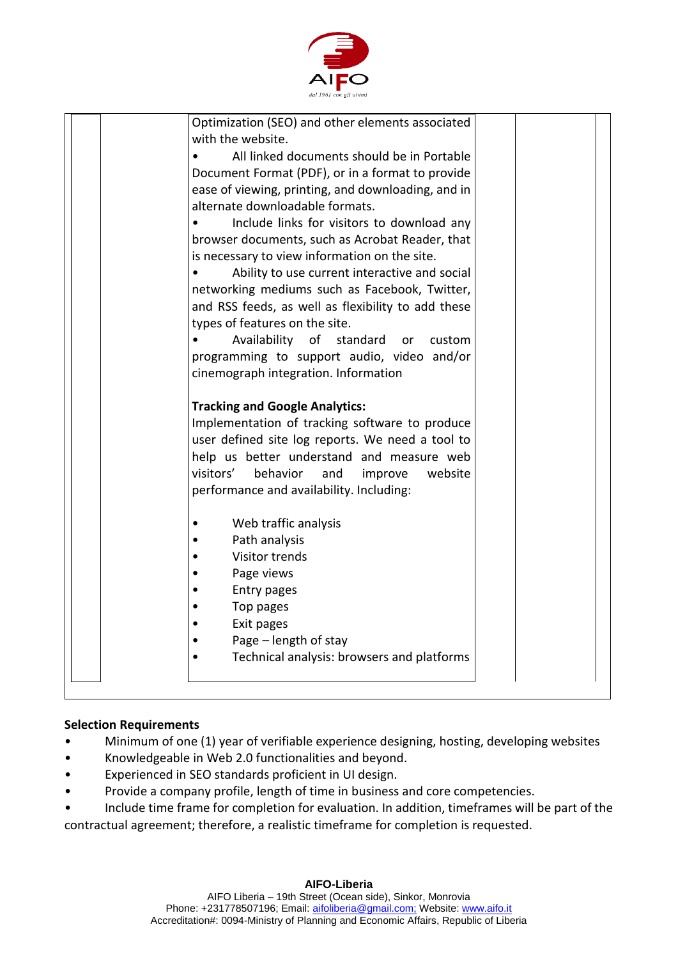

| Optimization (SEO) and other elements associated   |  |
|----------------------------------------------------|--|
| with the website.                                  |  |
| All linked documents should be in Portable         |  |
| Document Format (PDF), or in a format to provide   |  |
| ease of viewing, printing, and downloading, and in |  |
| alternate downloadable formats.                    |  |
| Include links for visitors to download any         |  |
| browser documents, such as Acrobat Reader, that    |  |
| is necessary to view information on the site.      |  |
| Ability to use current interactive and social      |  |
| networking mediums such as Facebook, Twitter,      |  |
| and RSS feeds, as well as flexibility to add these |  |
| types of features on the site.                     |  |
| Availability of<br>standard<br>or<br>custom        |  |
| programming to support audio, video and/or         |  |
| cinemograph integration. Information               |  |
| <b>Tracking and Google Analytics:</b>              |  |
| Implementation of tracking software to produce     |  |
| user defined site log reports. We need a tool to   |  |
| help us better understand and measure web          |  |
| visitors'<br>behavior<br>website<br>and<br>improve |  |
| performance and availability. Including:           |  |
|                                                    |  |
| Web traffic analysis                               |  |
| Path analysis                                      |  |
| Visitor trends                                     |  |
| Page views                                         |  |
| Entry pages                                        |  |
| Top pages                                          |  |
| Exit pages                                         |  |
| Page – length of stay                              |  |
| Technical analysis: browsers and platforms         |  |
|                                                    |  |
|                                                    |  |

## **Selection Requirements**

- Minimum of one (1) year of verifiable experience designing, hosting, developing websites
- Knowledgeable in Web 2.0 functionalities and beyond.
- Experienced in SEO standards proficient in UI design.
- Provide a company profile, length of time in business and core competencies.

• Include time frame for completion for evaluation. In addition, timeframes will be part of the contractual agreement; therefore, a realistic timeframe for completion is requested.